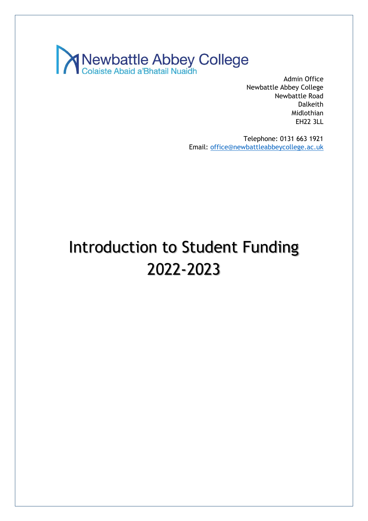

Admin Office Newbattle Abbey College Newbattle Road Dalkeith Midlothian EH22 3LL

Telephone: 0131 663 1921 Email: [office@newbattleabbeycollege.ac.uk](mailto:office@newbattleabbeycollege.ac.uk)

# Introduction to Student Funding 2022-2023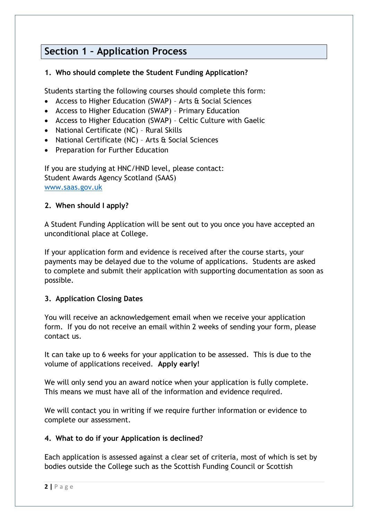# **Section 1 – Application Process**

### **1. Who should complete the Student Funding Application?**

Students starting the following courses should complete this form:

- Access to Higher Education (SWAP) Arts & Social Sciences
- Access to Higher Education (SWAP) Primary Education
- Access to Higher Education (SWAP) Celtic Culture with Gaelic
- National Certificate (NC) Rural Skills
- National Certificate (NC) Arts & Social Sciences
- Preparation for Further Education

If you are studying at HNC/HND level, please contact: Student Awards Agency Scotland (SAAS) [www.saas.gov.uk](http://www.saas.gov.uk/)

### **2. When should I apply?**

A Student Funding Application will be sent out to you once you have accepted an unconditional place at College.

If your application form and evidence is received after the course starts, your payments may be delayed due to the volume of applications. Students are asked to complete and submit their application with supporting documentation as soon as possible.

### **3. Application Closing Dates**

You will receive an acknowledgement email when we receive your application form. If you do not receive an email within 2 weeks of sending your form, please contact us.

It can take up to 6 weeks for your application to be assessed. This is due to the volume of applications received. **Apply early!**

We will only send you an award notice when your application is fully complete. This means we must have all of the information and evidence required.

We will contact you in writing if we require further information or evidence to complete our assessment.

### **4. What to do if your Application is declined?**

Each application is assessed against a clear set of criteria, most of which is set by bodies outside the College such as the Scottish Funding Council or Scottish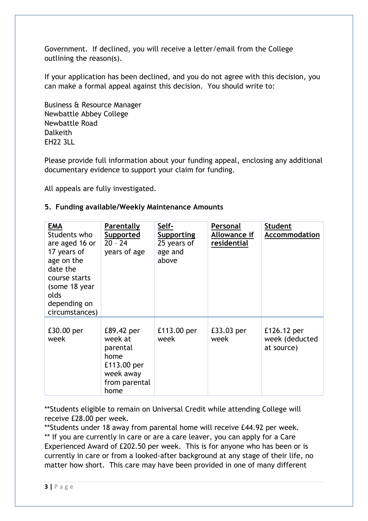Government. If declined, you will receive a letter/email from the College outlining the reason(s).

If your application has been declined, and you do not agree with this decision, you can make a formal appeal against this decision. You should write to:

Business & Resource Manager Newbattle Abbey College Newbattle Road Dalkeith EH22 3LL

Please provide full information about your funding appeal, enclosing any additional documentary evidence to support your claim for funding.

All appeals are fully investigated.

### **5. Funding available/Weekly Maintenance Amounts**

| EMA<br>Students who<br>are aged 16 or<br>17 years of<br>age on the<br>date the<br>course starts<br>(some 18 year<br>olds<br>depending on<br>circumstances) | Parentally<br>Supported<br>$20 - 24$<br>years of age                                           | Self-<br>Supporting<br>25 years of<br>age and<br>above | Personal<br>Allowance if<br>residential | <b>Student</b><br><b>Accommodation</b>      |
|------------------------------------------------------------------------------------------------------------------------------------------------------------|------------------------------------------------------------------------------------------------|--------------------------------------------------------|-----------------------------------------|---------------------------------------------|
| £30.00 per<br>week                                                                                                                                         | £89.42 per<br>week at<br>parental<br>home<br>£113.00 per<br>week away<br>from parental<br>home | £113.00 per<br>week                                    | £33.03 per<br>week                      | £126.12 per<br>week (deducted<br>at source) |

\*\*Students eligible to remain on Universal Credit while attending College will receive £28.00 per week.

\*\*Students under 18 away from parental home will receive £44.92 per week. \*\* If you are currently in care or are a care leaver, you can apply for a Care Experienced Award of £202.50 per week. This is for anyone who has been or is currently in care or from a looked-after background at any stage of their life, no matter how short. This care may have been provided in one of many different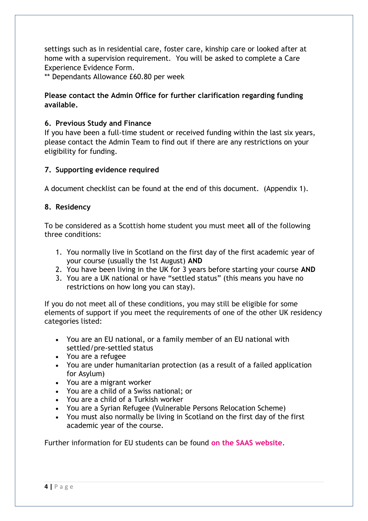settings such as in residential care, foster care, kinship care or looked after at home with a supervision requirement. You will be asked to complete a Care Experience Evidence Form.

\*\* Dependants Allowance £60.80 per week

### **Please contact the Admin Office for further clarification regarding funding available.**

### **6. Previous Study and Finance**

If you have been a full-time student or received funding within the last six years, please contact the Admin Team to find out if there are any restrictions on your eligibility for funding.

### **7. Supporting evidence required**

A document checklist can be found at the end of this document. (Appendix 1).

### **8. Residency**

To be considered as a Scottish home student you must meet **all** of the following three conditions:

- 1. You normally live in Scotland on the first day of the first academic year of your course (usually the 1st August) **AND**
- 2. You have been living in the UK for 3 years before starting your course **AND**
- 3. You are a UK national or have "settled status" (this means you have no restrictions on how long you can stay).

If you do not meet all of these conditions, you may still be eligible for some elements of support if you meet the requirements of one of the other UK residency categories listed:

- You are an EU national, or a family member of an EU national with settled/pre-settled status
- You are a refugee
- You are under humanitarian protection (as a result of a failed application for Asylum)
- You are a migrant worker
- You are a child of a Swiss national; or
- You are a child of a Turkish worker
- You are a Syrian Refugee (Vulnerable Persons Relocation Scheme)
- You must also normally be living in Scotland on the first day of the first academic year of the course.

Further information for EU students can be found **[on the SAAS website](https://www.saas.gov.uk/files/508/saas-residence-conditions-uk-eu-eea-swiss.pdf)**.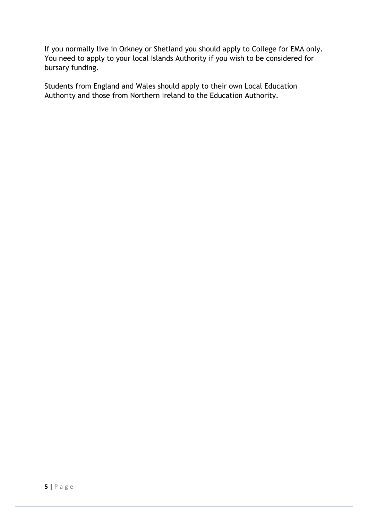If you normally live in Orkney or Shetland you should apply to College for EMA only. You need to apply to your local Islands Authority if you wish to be considered for bursary funding.

Students from England and Wales should apply to their own Local Education Authority and those from Northern Ireland to the Education Authority.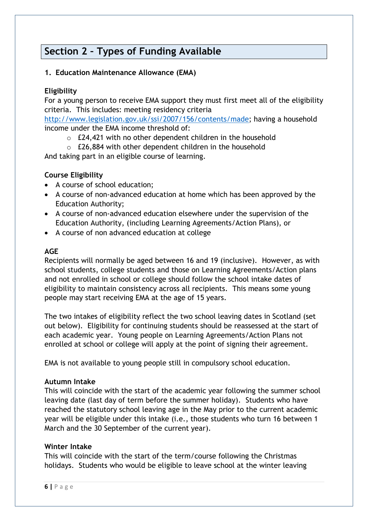### **Section 2 – Types of Funding Available**

### **1. Education Maintenance Allowance (EMA)**

### **Eligibility**

For a young person to receive EMA support they must first meet all of the eligibility criteria. This includes: meeting residency criteria

[http://www.legislation.gov.uk/ssi/2007/156/contents/made;](http://www.legislation.gov.uk/ssi/2007/156/contents/made) having a household income under the EMA income threshold of:

- o £24,421 with no other dependent children in the household
- o £26,884 with other dependent children in the household

And taking part in an eligible course of learning.

### **Course Eligibility**

- A course of school education;
- A course of non-advanced education at home which has been approved by the Education Authority;
- A course of non-advanced education elsewhere under the supervision of the Education Authority, (including Learning Agreements/Action Plans), or
- A course of non advanced education at college

#### **AGE**

Recipients will normally be aged between 16 and 19 (inclusive). However, as with school students, college students and those on Learning Agreements/Action plans and not enrolled in school or college should follow the school intake dates of eligibility to maintain consistency across all recipients. This means some young people may start receiving EMA at the age of 15 years.

The two intakes of eligibility reflect the two school leaving dates in Scotland (set out below). Eligibility for continuing students should be reassessed at the start of each academic year. Young people on Learning Agreements/Action Plans not enrolled at school or college will apply at the point of signing their agreement.

EMA is not available to young people still in compulsory school education.

#### **Autumn Intake**

This will coincide with the start of the academic year following the summer school leaving date (last day of term before the summer holiday). Students who have reached the statutory school leaving age in the May prior to the current academic year will be eligible under this intake (i.e., those students who turn 16 between 1 March and the 30 September of the current year).

#### **Winter Intake**

This will coincide with the start of the term/course following the Christmas holidays. Students who would be eligible to leave school at the winter leaving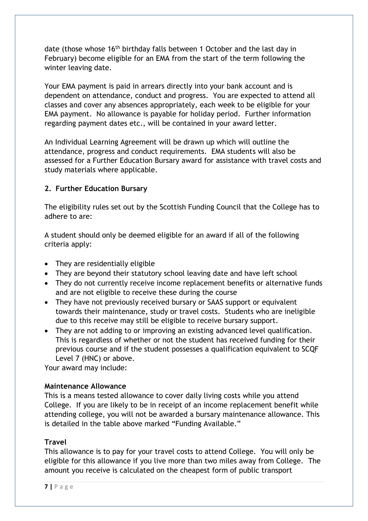date (those whose 16<sup>th</sup> birthday falls between 1 October and the last day in February) become eligible for an EMA from the start of the term following the winter leaving date.

Your EMA payment is paid in arrears directly into your bank account and is dependent on attendance, conduct and progress. You are expected to attend all classes and cover any absences appropriately, each week to be eligible for your EMA payment. No allowance is payable for holiday period. Further information regarding payment dates etc., will be contained in your award letter.

An Individual Learning Agreement will be drawn up which will outline the attendance, progress and conduct requirements. EMA students will also be assessed for a Further Education Bursary award for assistance with travel costs and study materials where applicable.

### **2. Further Education Bursary**

The eligibility rules set out by the Scottish Funding Council that the College has to adhere to are:

A student should only be deemed eligible for an award if all of the following criteria apply:

- They are residentially eligible
- They are beyond their statutory school leaving date and have left school
- They do not currently receive income replacement benefits or alternative funds and are not eligible to receive these during the course
- They have not previously received bursary or SAAS support or equivalent towards their maintenance, study or travel costs. Students who are ineligible due to this receive may still be eligible to receive bursary support.
- They are not adding to or improving an existing advanced level qualification. This is regardless of whether or not the student has received funding for their previous course and if the student possesses a qualification equivalent to SCQF Level 7 (HNC) or above.

Your award may include:

### **Maintenance Allowance**

This is a means tested allowance to cover daily living costs while you attend College. If you are likely to be in receipt of an income replacement benefit while attending college, you will not be awarded a bursary maintenance allowance. This is detailed in the table above marked "Funding Available."

### **Travel**

This allowance is to pay for your travel costs to attend College. You will only be eligible for this allowance if you live more than two miles away from College. The amount you receive is calculated on the cheapest form of public transport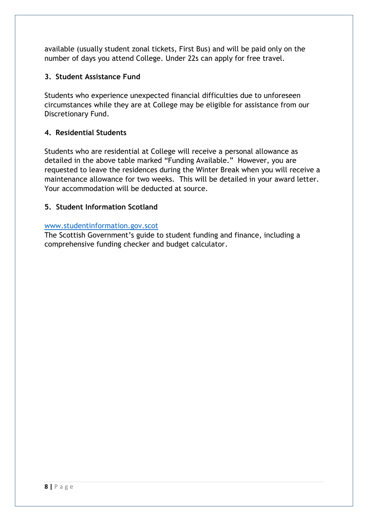available (usually student zonal tickets, First Bus) and will be paid only on the number of days you attend College. Under 22s can apply for free travel.

### **3. Student Assistance Fund**

Students who experience unexpected financial difficulties due to unforeseen circumstances while they are at College may be eligible for assistance from our Discretionary Fund.

### **4. Residential Students**

Students who are residential at College will receive a personal allowance as detailed in the above table marked "Funding Available." However, you are requested to leave the residences during the Winter Break when you will receive a maintenance allowance for two weeks. This will be detailed in your award letter. Your accommodation will be deducted at source.

### **5. Student Information Scotland**

### [www.studentinformation.gov.scot](http://www.studentinformation.gov.scot/)

The Scottish Government's guide to student funding and finance, including a comprehensive funding checker and budget calculator.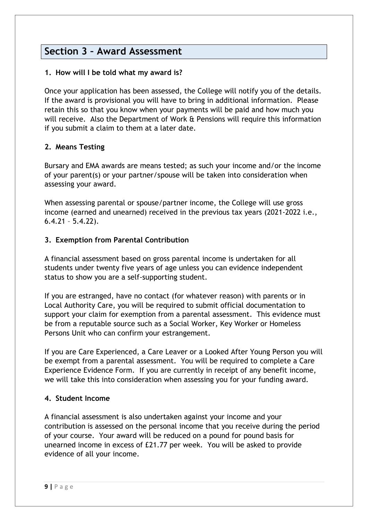### **Section 3 – Award Assessment**

### **1. How will I be told what my award is?**

Once your application has been assessed, the College will notify you of the details. If the award is provisional you will have to bring in additional information. Please retain this so that you know when your payments will be paid and how much you will receive. Also the Department of Work & Pensions will require this information if you submit a claim to them at a later date.

### **2. Means Testing**

Bursary and EMA awards are means tested; as such your income and/or the income of your parent(s) or your partner/spouse will be taken into consideration when assessing your award.

When assessing parental or spouse/partner income, the College will use gross income (earned and unearned) received in the previous tax years (2021-2022 i.e., 6.4.21 – 5.4.22).

### **3. Exemption from Parental Contribution**

A financial assessment based on gross parental income is undertaken for all students under twenty five years of age unless you can evidence independent status to show you are a self-supporting student.

If you are estranged, have no contact (for whatever reason) with parents or in Local Authority Care, you will be required to submit official documentation to support your claim for exemption from a parental assessment. This evidence must be from a reputable source such as a Social Worker, Key Worker or Homeless Persons Unit who can confirm your estrangement.

If you are Care Experienced, a Care Leaver or a Looked After Young Person you will be exempt from a parental assessment. You will be required to complete a Care Experience Evidence Form. If you are currently in receipt of any benefit income, we will take this into consideration when assessing you for your funding award.

#### **4. Student Income**

A financial assessment is also undertaken against your income and your contribution is assessed on the personal income that you receive during the period of your course. Your award will be reduced on a pound for pound basis for unearned income in excess of £21.77 per week. You will be asked to provide evidence of all your income.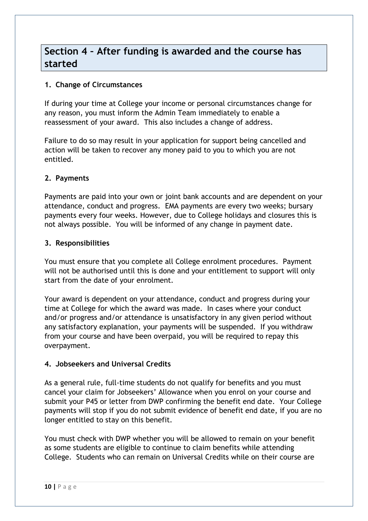### **Section 4 – After funding is awarded and the course has started**

### **1. Change of Circumstances**

If during your time at College your income or personal circumstances change for any reason, you must inform the Admin Team immediately to enable a reassessment of your award. This also includes a change of address.

Failure to do so may result in your application for support being cancelled and action will be taken to recover any money paid to you to which you are not entitled.

### **2. Payments**

Payments are paid into your own or joint bank accounts and are dependent on your attendance, conduct and progress. EMA payments are every two weeks; bursary payments every four weeks. However, due to College holidays and closures this is not always possible. You will be informed of any change in payment date.

### **3. Responsibilities**

You must ensure that you complete all College enrolment procedures. Payment will not be authorised until this is done and your entitlement to support will only start from the date of your enrolment.

Your award is dependent on your attendance, conduct and progress during your time at College for which the award was made. In cases where your conduct and/or progress and/or attendance is unsatisfactory in any given period without any satisfactory explanation, your payments will be suspended. If you withdraw from your course and have been overpaid, you will be required to repay this overpayment.

### **4. Jobseekers and Universal Credits**

As a general rule, full-time students do not qualify for benefits and you must cancel your claim for Jobseekers' Allowance when you enrol on your course and submit your P45 or letter from DWP confirming the benefit end date. Your College payments will stop if you do not submit evidence of benefit end date, if you are no longer entitled to stay on this benefit.

You must check with DWP whether you will be allowed to remain on your benefit as some students are eligible to continue to claim benefits while attending College. Students who can remain on Universal Credits while on their course are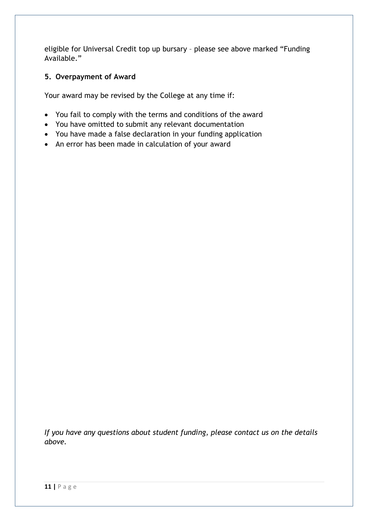eligible for Universal Credit top up bursary – please see above marked "Funding Available."

### **5. Overpayment of Award**

Your award may be revised by the College at any time if:

- You fail to comply with the terms and conditions of the award
- You have omitted to submit any relevant documentation
- You have made a false declaration in your funding application
- An error has been made in calculation of your award

*If you have any questions about student funding, please contact us on the details above.*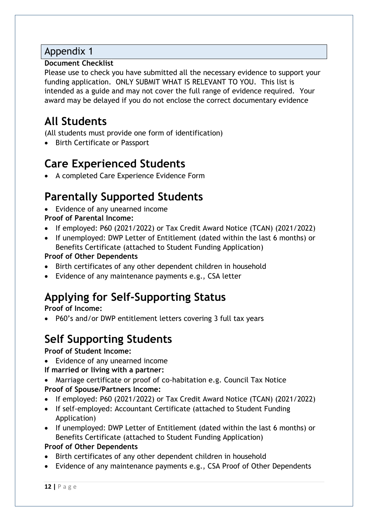### Appendix 1

### **Document Checklist**

Please use to check you have submitted all the necessary evidence to support your funding application. ONLY SUBMIT WHAT IS RELEVANT TO YOU. This list is intended as a guide and may not cover the full range of evidence required. Your award may be delayed if you do not enclose the correct documentary evidence

# **All Students**

(All students must provide one form of identification)

• Birth Certificate or Passport

# **Care Experienced Students**

• A completed Care Experience Evidence Form

# **Parentally Supported Students**

- Evidence of any unearned income
- **Proof of Parental Income:**
- If employed: P60 (2021/2022) or Tax Credit Award Notice (TCAN) (2021/2022)
- If unemployed: DWP Letter of Entitlement (dated within the last 6 months) or Benefits Certificate (attached to Student Funding Application)

### **Proof of Other Dependents**

- Birth certificates of any other dependent children in household
- Evidence of any maintenance payments e.g., CSA letter

# **Applying for Self-Supporting Status**

**Proof of Income:**

• P60's and/or DWP entitlement letters covering 3 full tax years

# **Self Supporting Students**

**Proof of Student Income:**

• Evidence of any unearned income

### **If married or living with a partner:**

- Marriage certificate or proof of co-habitation e.g. Council Tax Notice **Proof of Spouse/Partners Income:**
- If employed: P60 (2021/2022) or Tax Credit Award Notice (TCAN) (2021/2022)
- If self-employed: Accountant Certificate (attached to Student Funding Application)
- If unemployed: DWP Letter of Entitlement (dated within the last 6 months) or Benefits Certificate (attached to Student Funding Application)

### **Proof of Other Dependents**

- Birth certificates of any other dependent children in household
- Evidence of any maintenance payments e.g., CSA Proof of Other Dependents